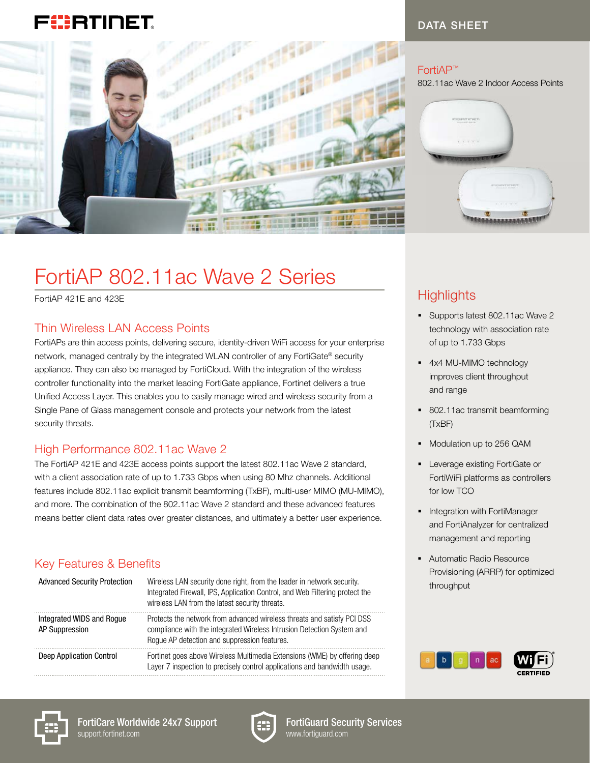# F!!:RTINET.



#### DATA SHEET

#### FortiAP™

802.11ac Wave 2 Indoor Access Points



# FortiAP 802.11ac Wave 2 Series

FortiAP 421E and 423E

#### Thin Wireless LAN Access Points

FortiAPs are thin access points, delivering secure, identity-driven WiFi access for your enterprise network, managed centrally by the integrated WLAN controller of any FortiGate® security appliance. They can also be managed by FortiCloud. With the integration of the wireless controller functionality into the market leading FortiGate appliance, Fortinet delivers a true Unified Access Layer. This enables you to easily manage wired and wireless security from a Single Pane of Glass management console and protects your network from the latest security threats.

#### High Performance 802.11ac Wave 2

The FortiAP 421E and 423E access points support the latest 802.11ac Wave 2 standard, with a client association rate of up to 1.733 Gbps when using 80 Mhz channels. Additional features include 802.11ac explicit transmit beamforming (TxBF), multi-user MIMO (MU-MIMO), and more. The combination of the 802.11ac Wave 2 standard and these advanced features means better client data rates over greater distances, and ultimately a better user experience.

#### Key Features & Benefits

| <b>Advanced Security Protection</b>         | Wireless LAN security done right, from the leader in network security.<br>Integrated Firewall, IPS, Application Control, and Web Filtering protect the<br>wireless LAN from the latest security threats. |
|---------------------------------------------|----------------------------------------------------------------------------------------------------------------------------------------------------------------------------------------------------------|
| Integrated WIDS and Roque<br>AP Suppression | Protects the network from advanced wireless threats and satisfy PCI DSS<br>compliance with the integrated Wireless Intrusion Detection System and<br>Rogue AP detection and suppression features.        |
| Deep Application Control                    | Fortinet goes above Wireless Multimedia Extensions (WME) by offering deep<br>Layer 7 inspection to precisely control applications and bandwidth usage.                                                   |

# **Highlights**

- § Supports latest 802.11ac Wave 2 technology with association rate of up to 1.733 Gbps
- 4x4 MU-MIMO technology improves client throughput and range
- 802.11ac transmit beamforming (TxBF)
- § Modulation up to 256 QAM
- **Exercise** existing FortiGate or FortiWiFi platforms as controllers for low TCO
- **Integration with FortiManager** and FortiAnalyzer for centralized management and reporting
- Automatic Radio Resource Provisioning (ARRP) for optimized throughput





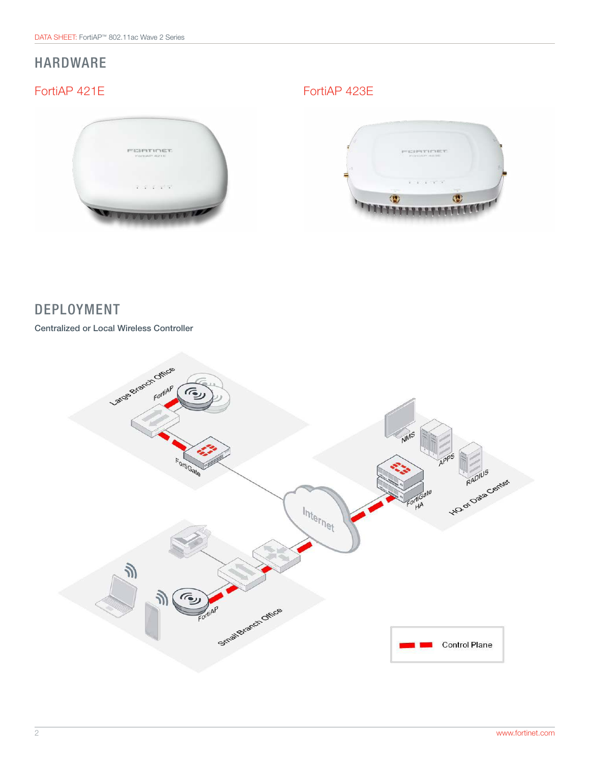# HARDWARE

### FortiAP 421E FortiAP 423E

FEIRTINET



## DEPLOYMENT

Centralized or Local Wireless Controller

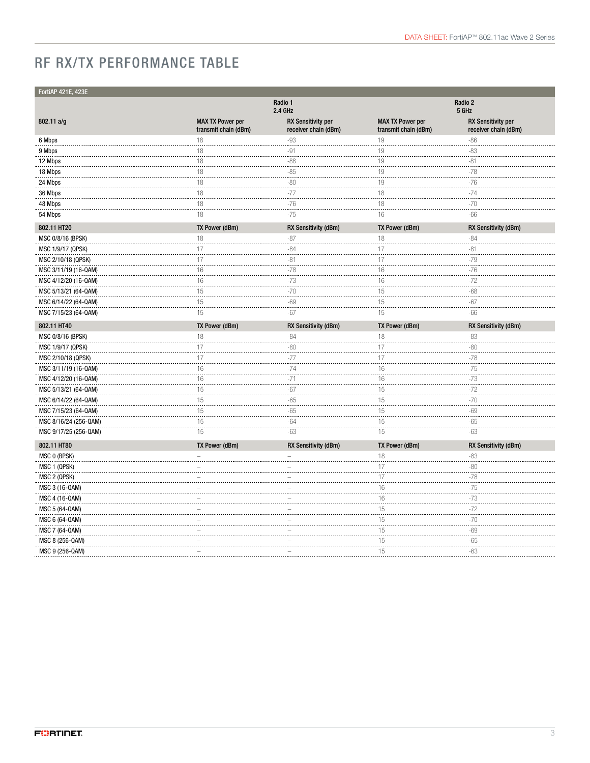# RF RX/TX PERFORMANCE TABLE

| FortiAP 421E, 423E    |                                                 |                                                   |                                                 |                                                   |       |  |
|-----------------------|-------------------------------------------------|---------------------------------------------------|-------------------------------------------------|---------------------------------------------------|-------|--|
|                       |                                                 | Radio 1<br>2.4 GHz                                | Radio 2<br>5 GHz                                |                                                   |       |  |
| 802.11 a/g            | <b>MAX TX Power per</b><br>transmit chain (dBm) | <b>RX Sensitivity per</b><br>receiver chain (dBm) | <b>MAX TX Power per</b><br>transmit chain (dBm) | <b>RX Sensitivity per</b><br>receiver chain (dBm) |       |  |
| 6 Mbps                | 18                                              | $-93$                                             | 19                                              | $-86$                                             |       |  |
| 9 Mbps                | 18                                              | $-91$                                             | 19                                              | $-83$                                             |       |  |
| 12 Mbps               | 18                                              | $-88$                                             | 19                                              | $-81$                                             |       |  |
| 18 Mbps               | 18                                              | $-85$                                             | 19                                              | $-78$                                             |       |  |
| 24 Mbps               | 18                                              | $-80$<br>.                                        | 19                                              | $-76$                                             |       |  |
| 36 Mbps               | 18                                              | $-77$                                             | 18                                              | $-74$                                             |       |  |
| 48 Mbps               | 18                                              | $-76$                                             | 18                                              | $-70$                                             |       |  |
| 54 Mbps               | 18                                              | $-75$                                             | 16                                              | $-66$                                             |       |  |
| 802.11 HT20           | TX Power (dBm)                                  | <b>RX Sensitivity (dBm)</b>                       | TX Power (dBm)                                  | <b>RX Sensitivity (dBm)</b>                       |       |  |
| MSC 0/8/16 (BPSK)     | 18                                              | $-87$                                             | 18                                              | $-84$                                             |       |  |
| MSC 1/9/17 (QPSK)     | 17                                              | $-84$                                             | 17                                              | $-81$                                             |       |  |
| MSC 2/10/18 (QPSK)    | 17                                              | $-81$                                             | 17                                              |                                                   | $-79$ |  |
| MSC 3/11/19 (16-QAM)  | 16                                              | $-78$                                             | 16                                              | $-76$                                             |       |  |
| MSC 4/12/20 (16-QAM)  | 16                                              | $-73$                                             | 16                                              | $-72$                                             |       |  |
| MSC 5/13/21 (64-QAM)  | 15                                              | $-70$                                             | 15<br>$\cdots$                                  | $-68$                                             |       |  |
| MSC 6/14/22 (64-QAM)  | 15                                              | $-69$                                             | 15                                              | $-67$                                             |       |  |
| MSC 7/15/23 (64-QAM)  | 15                                              | $-67$                                             | 15                                              | $-66$                                             |       |  |
| 802.11 HT40           | TX Power (dBm)                                  | <b>RX Sensitivity (dBm)</b>                       | TX Power (dBm)                                  | RX Sensitivity (dBm)                              |       |  |
| MSC 0/8/16 (BPSK)     | 18                                              | $-84$                                             | 18                                              | $-83$                                             |       |  |
| MSC 1/9/17 (QPSK)     | 17                                              | $-80$                                             | 17                                              | $-80$                                             |       |  |
| MSC 2/10/18 (QPSK)    | 17                                              | $-77$                                             | 17                                              | $-78$                                             |       |  |
| MSC 3/11/19 (16-QAM)  | 16                                              | $-74$                                             | 16                                              | $-75$                                             |       |  |
| MSC 4/12/20 (16-QAM)  | 16                                              | $-71$                                             | 16                                              | $-73$                                             |       |  |
| MSC 5/13/21 (64-QAM)  | 15                                              | $-67$                                             | 15                                              | $-72$                                             |       |  |
| MSC 6/14/22 (64-QAM)  | 15                                              | $-65$                                             | $\frac{15}{1}$                                  | $-70$                                             |       |  |
| MSC 7/15/23 (64-QAM)  | 15                                              | $-65$                                             | 15                                              | $-69$                                             |       |  |
| MSC 8/16/24 (256-QAM) | 15                                              | $-64$                                             | 15                                              | $-65$                                             |       |  |
| MSC 9/17/25 (256-QAM) | 15                                              | $-63$                                             | 15                                              | $-63$                                             |       |  |
| 802.11 HT80           | TX Power (dBm)                                  | <b>RX Sensitivity (dBm)</b>                       | TX Power (dBm)                                  | RX Sensitivity (dBm)                              |       |  |
| MSC 0 (BPSK)          |                                                 |                                                   | 18                                              | $-83$                                             |       |  |
| MSC 1 (QPSK)          |                                                 |                                                   | 17                                              | $-80$                                             |       |  |
| MSC 2 (QPSK)          |                                                 |                                                   | 17                                              | $-78$                                             |       |  |
| MSC 3 (16-QAM)        |                                                 |                                                   | 16<br>$\cdots$                                  | -75                                               |       |  |
| MSC 4 (16-QAM)        |                                                 |                                                   | 16                                              | $-73$                                             |       |  |
| MSC 5 (64-QAM)        |                                                 |                                                   | 15                                              | $-72$                                             |       |  |
| MSC 6 (64-QAM)        |                                                 |                                                   | 15                                              | $-70$                                             |       |  |
| MSC 7 (64-QAM)        |                                                 |                                                   | 15<br>.                                         | $-69$                                             |       |  |
| MSC 8 (256-QAM)       |                                                 |                                                   | 15                                              | $-65$                                             |       |  |
| MSC 9 (256-QAM)       |                                                 |                                                   | 15                                              | $-63$                                             |       |  |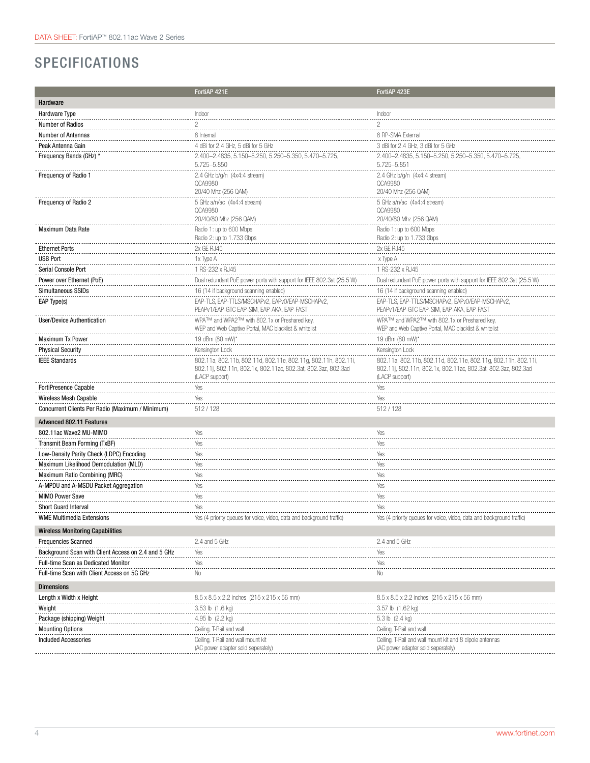# SPECIFICATIONS

|                                                     | FortiAP 421E                                                                                | FortiAP 423E                                                                                   |  |  |  |
|-----------------------------------------------------|---------------------------------------------------------------------------------------------|------------------------------------------------------------------------------------------------|--|--|--|
| Hardware                                            |                                                                                             |                                                                                                |  |  |  |
| Hardware Type                                       | Indoor                                                                                      | Indoor                                                                                         |  |  |  |
| Number of Radios                                    | 2                                                                                           | $\overline{c}$                                                                                 |  |  |  |
| <b>Number of Antennas</b>                           | 8 Internal                                                                                  | 8 RP-SMA External                                                                              |  |  |  |
| Peak Antenna Gain                                   | 4 dBi for 2.4 GHz, 5 dBi for 5 GHz                                                          | 3 dBi for 2.4 GHz, 3 dBi for 5 GHz                                                             |  |  |  |
| Frequency Bands (GHz) *                             | 2.400-2.4835, 5.150-5.250, 5.250-5.350, 5.470-5.725                                         | 2.400-2.4835, 5.150-5.250, 5.250-5.350, 5.470-5.725                                            |  |  |  |
|                                                     | 5.725-5.850                                                                                 | 5.725-5.851                                                                                    |  |  |  |
| Frequency of Radio 1                                | 2.4 GHz b/g/n (4x4:4 stream)                                                                | 2.4 GHz b/g/n (4x4:4 stream)                                                                   |  |  |  |
|                                                     | QCA9980<br>20/40 Mhz (256 QAM)                                                              | QCA9980<br>20/40 Mhz (256 QAM)                                                                 |  |  |  |
| Frequency of Radio 2                                | 5 GHz a/n/ac (4x4:4 stream)                                                                 | 5 GHz a/n/ac (4x4:4 stream)                                                                    |  |  |  |
|                                                     | QCA9980                                                                                     | QCA9980                                                                                        |  |  |  |
|                                                     | 20/40/80 Mhz (256 QAM)                                                                      | 20/40/80 Mhz (256 QAM)                                                                         |  |  |  |
| <b>Maximum Data Rate</b>                            | Radio 1: up to 600 Mbps                                                                     | Radio 1: up to 600 Mbps                                                                        |  |  |  |
|                                                     | Radio 2: up to 1.733 Gbps                                                                   | Radio 2: up to 1.733 Gbps                                                                      |  |  |  |
| <b>Ethernet Ports</b>                               | 2x GE RJ45                                                                                  | 2x GE RJ45                                                                                     |  |  |  |
| <b>USB Port</b>                                     | 1x Type A                                                                                   | x Type A                                                                                       |  |  |  |
| Serial Console Port                                 | 1 RS-232 x RJ45                                                                             | 1 RS-232 x RJ45                                                                                |  |  |  |
| Power over Ethernet (PoE)                           | Dual redundant PoE power ports with support for IEEE 802.3at (25.5 W)                       | Dual redundant PoE power ports with support for IEEE 802.3at (25.5 W)                          |  |  |  |
| Simultaneous SSIDs                                  | 16 (14 if background scanning enabled)                                                      | 16 (14 if background scanning enabled)                                                         |  |  |  |
| EAP Type(s)                                         | EAP-TLS, EAP-TTLS/MSCHAPv2, EAPv0/EAP-MSCHAPv2<br>PEAPv1/EAP-GTC EAP-SIM, EAP-AKA, EAP-FAST | EAP-TLS, EAP-TTLS/MSCHAPv2, EAPv0/EAP-MSCHAPv2<br>PEAPv1/EAP-GTC EAP-SIM, EAP-AKA, EAP-FAST    |  |  |  |
| <b>User/Device Authentication</b>                   | WPA™ and WPA2™ with 802.1x or Preshared key,                                                | WPA™ and WPA2™ with 802.1x or Preshared key,                                                   |  |  |  |
|                                                     | WEP and Web Captive Portal, MAC blacklist & whitelist                                       | WEP and Web Captive Portal, MAC blacklist & whitelist                                          |  |  |  |
| <b>Maximum Tx Power</b>                             | 19 dBm (80 mW)*                                                                             | 19 dBm (80 mW)*                                                                                |  |  |  |
| <b>Physical Security</b>                            | Kensington Lock                                                                             | Kensington Lock                                                                                |  |  |  |
| <b>IEEE Standards</b>                               | 802.11a, 802.11b, 802.11d, 802.11e, 802.11g, 802.11h, 802.11i,                              | 802.11a, 802.11b, 802.11d, 802.11e, 802.11g, 802.11h, 802.11i,                                 |  |  |  |
|                                                     | 802.11j, 802.11n, 802.1x, 802.11ac, 802.3at, 802.3az, 802.3ad<br>(LACP support)             | 802.11j, 802.11n, 802.1x, 802.11ac, 802.3at, 802.3az, 802.3ad<br>(LACP support)                |  |  |  |
| FortiPresence Capable                               | Yes                                                                                         | Yes                                                                                            |  |  |  |
| Wireless Mesh Capable                               | Yes                                                                                         | Yes                                                                                            |  |  |  |
| Concurrent Clients Per Radio (Maximum / Minimum)    | 512/128                                                                                     | 512 / 128                                                                                      |  |  |  |
| <b>Advanced 802.11 Features</b>                     |                                                                                             |                                                                                                |  |  |  |
| 802.11ac Wave2 MU-MIMO                              | Yes                                                                                         | Yes                                                                                            |  |  |  |
| Transmit Beam Forming (TxBF)                        | Yes                                                                                         | Yes                                                                                            |  |  |  |
| Low-Density Parity Check (LDPC) Encoding            | Yes                                                                                         | Yes                                                                                            |  |  |  |
| Maximum Likelihood Demodulation (MLD)               | Yes                                                                                         | Yes                                                                                            |  |  |  |
| Maximum Ratio Combining (MRC)                       | Yes                                                                                         | Yes                                                                                            |  |  |  |
| A-MPDU and A-MSDU Packet Aggregation                | Yes                                                                                         | Yes                                                                                            |  |  |  |
| <b>MIMO Power Save</b>                              | Yes                                                                                         | Yes                                                                                            |  |  |  |
| <b>Short Guard Interval</b>                         | Yes                                                                                         | Yes                                                                                            |  |  |  |
| <b>WME Multimedia Extensions</b>                    | Yes (4 priority queues for voice, video, data and background traffic)                       | Yes (4 priority queues for voice, video, data and background traffic)                          |  |  |  |
| <b>Wireless Monitoring Capabilities</b>             |                                                                                             |                                                                                                |  |  |  |
| <b>Frequencies Scanned</b>                          | 2.4 and 5 GHz                                                                               | 2.4 and 5 GHz                                                                                  |  |  |  |
| Background Scan with Client Access on 2.4 and 5 GHz | Yes                                                                                         | Yes                                                                                            |  |  |  |
| Full-time Scan as Dedicated Monitor                 | Yes                                                                                         | Yes                                                                                            |  |  |  |
| Full-time Scan with Client Access on 5G GHz         | No                                                                                          | No                                                                                             |  |  |  |
| <b>Dimensions</b>                                   |                                                                                             |                                                                                                |  |  |  |
| Length x Width x Height                             | 8.5 x 8.5 x 2.2 inches (215 x 215 x 56 mm)                                                  | 8.5 x 8.5 x 2.2 inches (215 x 215 x 56 mm)                                                     |  |  |  |
| Weight                                              | 3.53 lb (1.6 kg)                                                                            | 3.57 lb (1.62 kg)                                                                              |  |  |  |
| Package (shipping) Weight                           | 4.95 lb (2.2 kg)                                                                            | 5.3 lb (2.4 kg)                                                                                |  |  |  |
| <b>Mounting Options</b>                             | Ceiling, T-Rail and wal                                                                     | Ceiling, T-Rail and wal                                                                        |  |  |  |
| <b>Included Accessories</b>                         | Ceiling, T-Rail and wall mount kit<br>(AC power adapter sold seperately)                    | Ceiling, T-Rail and wall mount kit and 8 dipole antennas<br>(AC power adapter sold seperately) |  |  |  |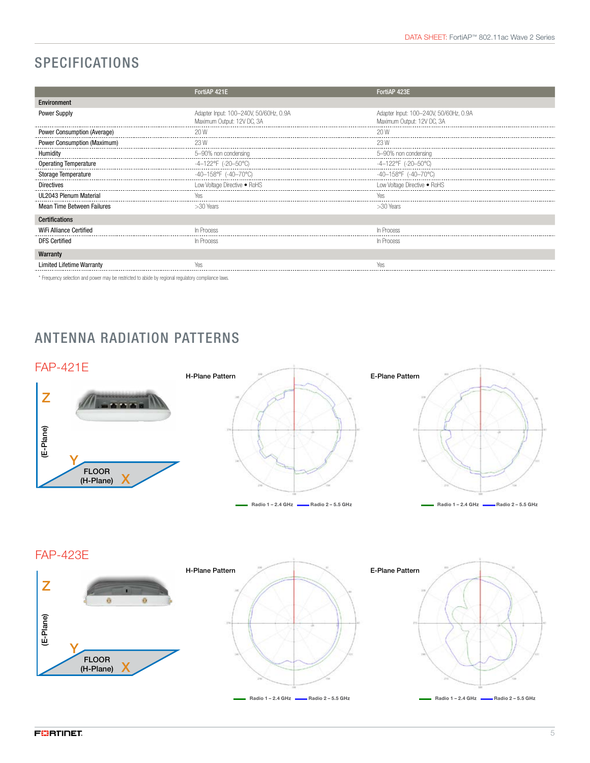# SPECIFICATIONS

|                              | FortiAP 421E                           | FortiAP 423E                           |  |  |
|------------------------------|----------------------------------------|----------------------------------------|--|--|
| Environment                  |                                        |                                        |  |  |
| <b>Power Supply</b>          | Adapter Input: 100-240V, 50/60Hz, 0.9A | Adapter Input: 100-240V, 50/60Hz, 0.9A |  |  |
|                              | Maximum Output: 12V DC, 3A             | Maximum Output: 12V DC, 3A             |  |  |
| Power Consumption (Average)  | 20 W                                   | 20 W                                   |  |  |
| Power Consumption (Maximum)  | 23 W                                   | 23 W                                   |  |  |
| Humidity                     | 5-90% non condensing                   | 5-90% non condensing                   |  |  |
| <b>Operating Temperature</b> | -4-122°F (-20-50°C)                    | -4–122°F (-20–50°C)                    |  |  |
| <b>Storage Temperature</b>   | -40-158°F (-40-70°C)                   | -40-158°F (-40-70°C)                   |  |  |
| <b>Directives</b>            | Low Voltage Directive . RoHS           | Low Voltage Directive . RoHS           |  |  |
| UL2043 Plenum Material       | Yes                                    | Yes                                    |  |  |
| Mean Time Between Failures   | $>30$ Years                            | $>30$ Years                            |  |  |
| <b>Certifications</b>        |                                        |                                        |  |  |
| WiFi Alliance Certified      | In Process                             | In Process                             |  |  |
| <b>DFS Certified</b>         | In Process                             | In Process                             |  |  |
| Warranty                     |                                        |                                        |  |  |
| Limited Lifetime Warranty    |                                        |                                        |  |  |
|                              |                                        |                                        |  |  |

\* Frequency selection and power may be restricted to abide by regional regulatory compliance laws.

# ANTENNA RADIATION PATTERNS



FAP-423E